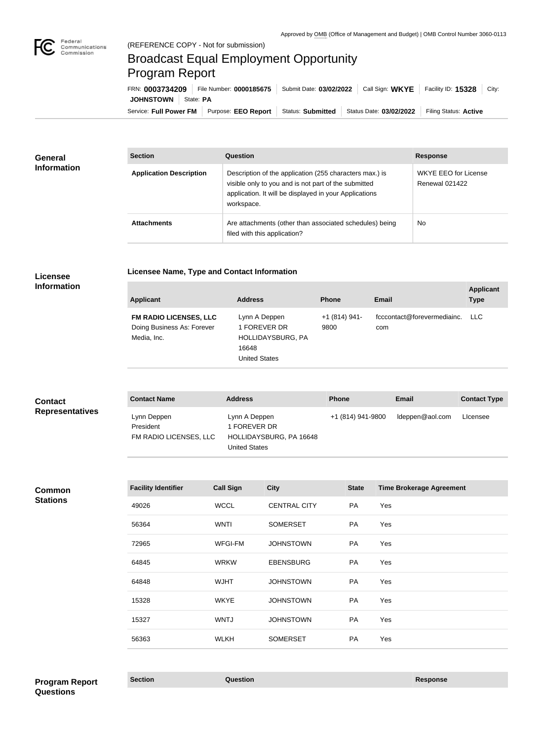

## Broadcast Equal Employment Opportunity Program Report

**Licensee Name, Type and Contact Information**

Service: Full Power FM Purpose: EEO Report | Status: Submitted | Status Date: 03/02/2022 | Filing Status: Active **JOHNSTOWN** State: PA FRN: **0003734209** File Number: **0000185675** Submit Date: **03/02/2022** Call Sign: **WKYE** Facility ID: **15328** City:

| <b>General</b><br><b>Information</b> | <b>Section</b>                 | Question                                                                                                                                                                                | <b>Response</b>                        |
|--------------------------------------|--------------------------------|-----------------------------------------------------------------------------------------------------------------------------------------------------------------------------------------|----------------------------------------|
|                                      | <b>Application Description</b> | Description of the application (255 characters max.) is<br>visible only to you and is not part of the submitted<br>application. It will be displayed in your Applications<br>workspace. | WKYE EEO for License<br>Renewal 021422 |
|                                      | <b>Attachments</b>             | Are attachments (other than associated schedules) being<br>filed with this application?                                                                                                 | No                                     |

## **Licensee Information**

| fcccontact@forevermediainc. LLC<br><b>FM RADIO LICENSES, LLC</b><br>$+1(814)941-$<br>Lynn A Deppen<br>Doing Business As: Forever<br>1 FOREVER DR<br>9800<br>com<br>Media, Inc.<br>HOLLIDAYSBURG, PA<br>16648<br><b>United States</b> | <b>Applicant</b> | <b>Address</b> | <b>Phone</b> | Email | <b>Applicant</b><br><b>Type</b> |
|--------------------------------------------------------------------------------------------------------------------------------------------------------------------------------------------------------------------------------------|------------------|----------------|--------------|-------|---------------------------------|
|                                                                                                                                                                                                                                      |                  |                |              |       |                                 |

| <b>Contact</b>         | <b>Contact Name</b>                                | <b>Address</b>                                                                   | <b>Phone</b>      | Email           | <b>Contact Type</b> |
|------------------------|----------------------------------------------------|----------------------------------------------------------------------------------|-------------------|-----------------|---------------------|
| <b>Representatives</b> | Lynn Deppen<br>President<br>FM RADIO LICENSES, LLC | Lynn A Deppen<br>1 FOREVER DR<br>HOLLIDAYSBURG, PA 16648<br><b>United States</b> | +1 (814) 941-9800 | ldeppen@aol.com | Licensee            |

**Common Stations**

| <b>Facility Identifier</b> | <b>Call Sign</b> | <b>City</b>         | <b>State</b> | <b>Time Brokerage Agreement</b> |
|----------------------------|------------------|---------------------|--------------|---------------------------------|
| 49026                      | <b>WCCL</b>      | <b>CENTRAL CITY</b> | PA           | Yes                             |
| 56364                      | <b>WNTI</b>      | <b>SOMERSET</b>     | <b>PA</b>    | Yes                             |
| 72965                      | <b>WFGI-FM</b>   | <b>JOHNSTOWN</b>    | PA           | Yes                             |
| 64845                      | <b>WRKW</b>      | <b>EBENSBURG</b>    | PA           | Yes                             |
| 64848                      | <b>WJHT</b>      | <b>JOHNSTOWN</b>    | PA           | Yes                             |
| 15328                      | <b>WKYE</b>      | <b>JOHNSTOWN</b>    | <b>PA</b>    | Yes                             |
| 15327                      | <b>WNTJ</b>      | <b>JOHNSTOWN</b>    | <b>PA</b>    | Yes                             |
| 56363                      | <b>WLKH</b>      | <b>SOMERSET</b>     | PA           | Yes                             |
|                            |                  |                     |              |                                 |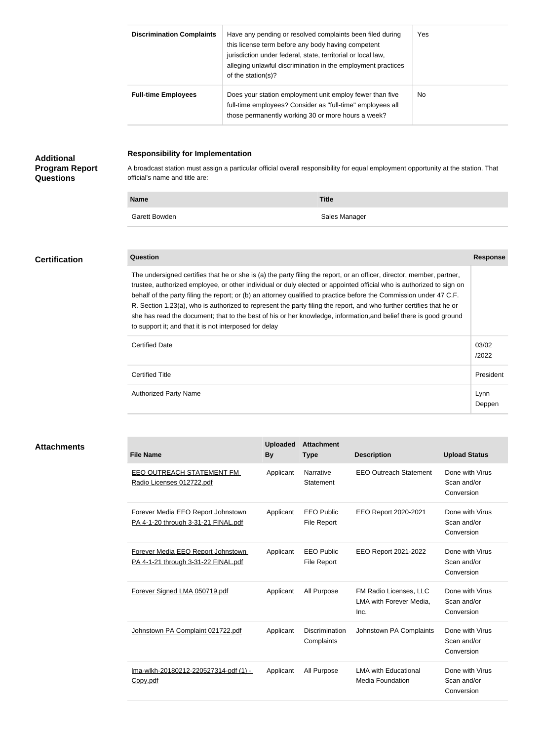| <b>Discrimination Complaints</b> | Have any pending or resolved complaints been filed during<br>this license term before any body having competent<br>jurisdiction under federal, state, territorial or local law,<br>alleging unlawful discrimination in the employment practices<br>of the station(s)? |     |
|----------------------------------|-----------------------------------------------------------------------------------------------------------------------------------------------------------------------------------------------------------------------------------------------------------------------|-----|
| <b>Full-time Employees</b>       | Does your station employment unit employ fewer than five<br>full-time employees? Consider as "full-time" employees all<br>those permanently working 30 or more hours a week?                                                                                          | No. |

## **Responsibility for Implementation** A broadcast station must assign a particular official overall responsibility for equal employment opportunity at the station. That official's name and title are: **Name Title** Garett Bowden Sales Manager **Question Response** The undersigned certifies that he or she is (a) the party filing the report, or an officer, director, member, partner, trustee, authorized employee, or other individual or duly elected or appointed official who is authorized to sign on behalf of the party filing the report; or (b) an attorney qualified to practice before the Commission under 47 C.F. R. Section 1.23(a), who is authorized to represent the party filing the report, and who further certifies that he or she has read the document; that to the best of his or her knowledge, information,and belief there is good ground to support it; and that it is not interposed for delay Certified Date and Contract Certified Date and Contract Certified Date and Contract Certified Date and Contract Certified Date and Contract Certified Date and Contract Certified Date and Contract Certified Date and Contrac /2022 Certified Title President Authorized Party Name Lynn Deppen **Certification Additional Program Report Questions**

**Attachments**

| <b>File Name</b>                                                          | <b>Uploaded</b><br><b>By</b> | <b>Attachment</b><br><b>Type</b>        | <b>Description</b>                                        | <b>Upload Status</b>                         |
|---------------------------------------------------------------------------|------------------------------|-----------------------------------------|-----------------------------------------------------------|----------------------------------------------|
| <b>EEO OUTREACH STATEMENT FM</b><br>Radio Licenses 012722.pdf             | Applicant                    | Narrative<br>Statement                  | <b>EEO Outreach Statement</b>                             | Done with Virus<br>Scan and/or<br>Conversion |
| Forever Media EEO Report Johnstown<br>PA 4-1-20 through 3-31-21 FINAL.pdf | Applicant                    | <b>EEO Public</b><br><b>File Report</b> | EEO Report 2020-2021                                      | Done with Virus<br>Scan and/or<br>Conversion |
| Forever Media EEO Report Johnstown<br>PA 4-1-21 through 3-31-22 FINAL.pdf | Applicant                    | <b>EEO Public</b><br><b>File Report</b> | EEO Report 2021-2022                                      | Done with Virus<br>Scan and/or<br>Conversion |
| Forever Signed LMA 050719.pdf                                             | Applicant                    | All Purpose                             | FM Radio Licenses, LLC<br>LMA with Forever Media,<br>Inc. | Done with Virus<br>Scan and/or<br>Conversion |
| Johnstown PA Complaint 021722.pdf                                         | Applicant                    | <b>Discrimination</b><br>Complaints     | Johnstown PA Complaints                                   | Done with Virus<br>Scan and/or<br>Conversion |
| lma-wlkh-20180212-220527314-pdf (1) -<br>Copy.pdf                         | Applicant                    | All Purpose                             | <b>LMA with Educational</b><br><b>Media Foundation</b>    | Done with Virus<br>Scan and/or<br>Conversion |